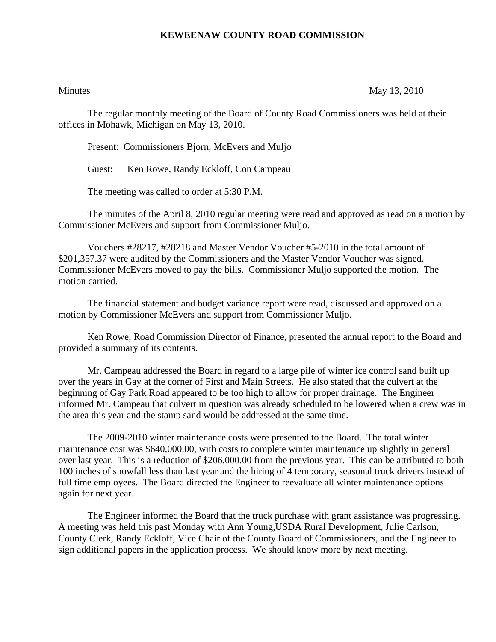## **KEWEENAW COUNTY ROAD COMMISSION**

Minutes May 13, 2010

The regular monthly meeting of the Board of County Road Commissioners was held at their offices in Mohawk, Michigan on May 13, 2010.

Present: Commissioners Bjorn, McEvers and Muljo

Guest: Ken Rowe, Randy Eckloff, Con Campeau

The meeting was called to order at 5:30 P.M.

 The minutes of the April 8, 2010 regular meeting were read and approved as read on a motion by Commissioner McEvers and support from Commissioner Muljo.

 Vouchers #28217, #28218 and Master Vendor Voucher #5-2010 in the total amount of \$201,357.37 were audited by the Commissioners and the Master Vendor Voucher was signed. Commissioner McEvers moved to pay the bills. Commissioner Muljo supported the motion. The motion carried.

 The financial statement and budget variance report were read, discussed and approved on a motion by Commissioner McEvers and support from Commissioner Muljo.

 Ken Rowe, Road Commission Director of Finance, presented the annual report to the Board and provided a summary of its contents.

 Mr. Campeau addressed the Board in regard to a large pile of winter ice control sand built up over the years in Gay at the corner of First and Main Streets. He also stated that the culvert at the beginning of Gay Park Road appeared to be too high to allow for proper drainage. The Engineer informed Mr. Campeau that culvert in question was already scheduled to be lowered when a crew was in the area this year and the stamp sand would be addressed at the same time.

 The 2009-2010 winter maintenance costs were presented to the Board. The total winter maintenance cost was \$640,000.00, with costs to complete winter maintenance up slightly in general over last year. This is a reduction of \$206,000.00 from the previous year. This can be attributed to both 100 inches of snowfall less than last year and the hiring of 4 temporary, seasonal truck drivers instead of full time employees. The Board directed the Engineer to reevaluate all winter maintenance options again for next year.

 The Engineer informed the Board that the truck purchase with grant assistance was progressing. A meeting was held this past Monday with Ann Young,USDA Rural Development, Julie Carlson, County Clerk, Randy Eckloff, Vice Chair of the County Board of Commissioners, and the Engineer to sign additional papers in the application process. We should know more by next meeting.